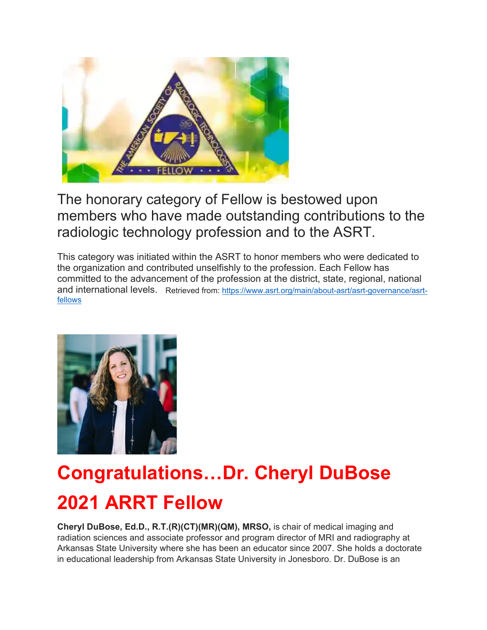

The honorary category of Fellow is bestowed upon members who have made outstanding contributions to the radiologic technology profession and to the ASRT.

This category was initiated within the ASRT to honor members who were dedicated to the organization and contributed unselfishly to the profession. Each Fellow has committed to the advancement of the profession at the district, state, regional, national and international levels. Retrieved from: [https://www.asrt.org/main/about-asrt/asrt-governance/asrt](https://www.asrt.org/main/about-asrt/asrt-governance/asrt-fellows)[fellows](https://www.asrt.org/main/about-asrt/asrt-governance/asrt-fellows)



## **Congratulations…Dr. Cheryl DuBose 2021 ARRT Fellow**

**Cheryl DuBose, Ed.D., R.T.(R)(CT)(MR)(QM), MRSO,** is chair of medical imaging and radiation sciences and associate professor and program director of MRI and radiography at Arkansas State University where she has been an educator since 2007. She holds a doctorate in educational leadership from Arkansas State University in Jonesboro. Dr. DuBose is an